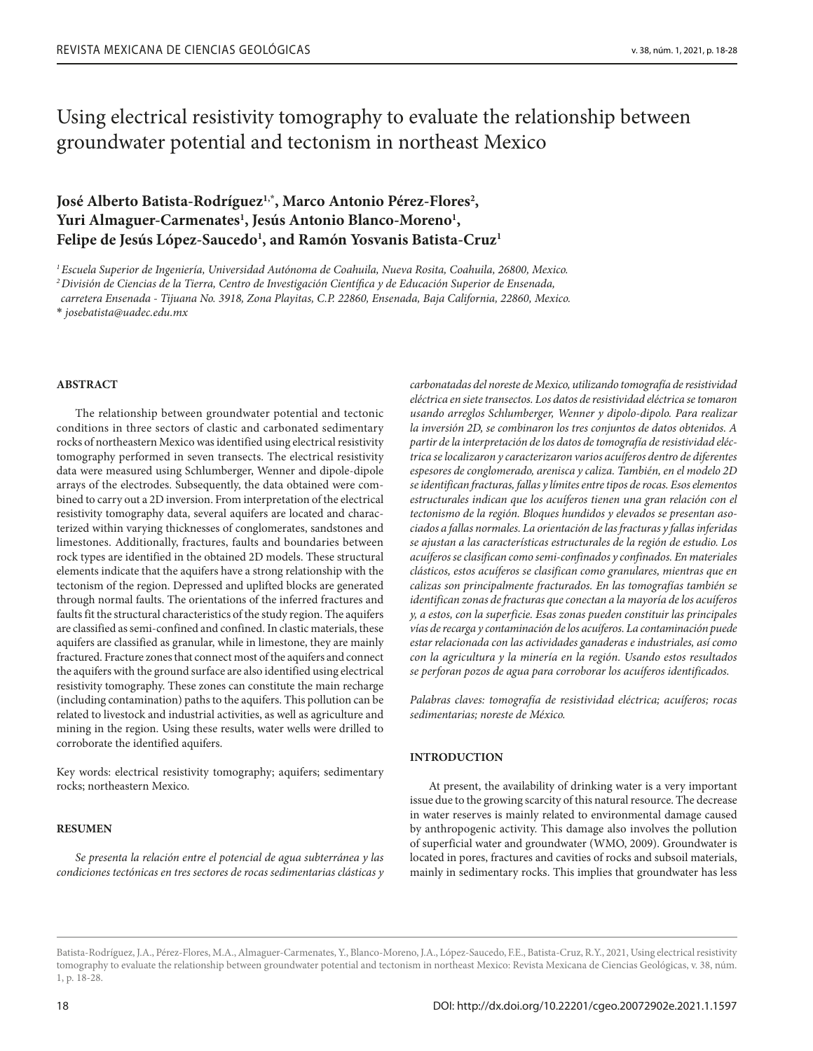# Using electrical resistivity tomography to evaluate the relationship between groundwater potential and tectonism in northeast Mexico

## **José Alberto Batista-Rodríguez1,\* , Marco Antonio Pérez-Flores2 ,**  Yuri Almaguer-Carmenates<sup>1</sup>, Jesús Antonio Blanco-Moreno<sup>1</sup>, **Felipe de Jesús López-Saucedo1 , and Ramón Yosvanis Batista-Cruz1**

*1 Escuela Superior de Ingeniería, Universidad Autónoma de Coahuila, Nueva Rosita, Coahuila, 26800, Mexico. 2 División de Ciencias de la Tierra, Centro de Investigación Científica y de Educación Superior de Ensenada,* 

*carretera Ensenada - Tijuana No. 3918, Zona Playitas, C.P. 22860, Ensenada, Baja California, 22860, Mexico.*

\* *josebatista@uadec.edu.mx*

## **ABSTRACT**

The relationship between groundwater potential and tectonic conditions in three sectors of clastic and carbonated sedimentary rocks of northeastern Mexico was identified using electrical resistivity tomography performed in seven transects. The electrical resistivity data were measured using Schlumberger, Wenner and dipole-dipole arrays of the electrodes. Subsequently, the data obtained were combined to carry out a 2D inversion. From interpretation of the electrical resistivity tomography data, several aquifers are located and characterized within varying thicknesses of conglomerates, sandstones and limestones. Additionally, fractures, faults and boundaries between rock types are identified in the obtained 2D models. These structural elements indicate that the aquifers have a strong relationship with the tectonism of the region. Depressed and uplifted blocks are generated through normal faults. The orientations of the inferred fractures and faults fit the structural characteristics of the study region. The aquifers are classified as semi-confined and confined. In clastic materials, these aquifers are classified as granular, while in limestone, they are mainly fractured. Fracture zones that connect most of the aquifers and connect the aquifers with the ground surface are also identified using electrical resistivity tomography. These zones can constitute the main recharge (including contamination) paths to the aquifers. This pollution can be related to livestock and industrial activities, as well as agriculture and mining in the region. Using these results, water wells were drilled to corroborate the identified aquifers.

Key words: electrical resistivity tomography; aquifers; sedimentary rocks; northeastern Mexico.

## **RESUMEN**

*Se presenta la relación entre el potencial de agua subterránea y las condiciones tectónicas en tres sectores de rocas sedimentarias clásticas y*  *carbonatadas del noreste de Mexico, utilizando tomografía de resistividad eléctrica en siete transectos. Los datos de resistividad eléctrica se tomaron usando arreglos Schlumberger, Wenner y dipolo-dipolo. Para realizar la inversión 2D, se combinaron los tres conjuntos de datos obtenidos. A partir de la interpretación de los datos de tomografía de resistividad eléctrica se localizaron y caracterizaron varios acuíferos dentro de diferentes espesores de conglomerado, arenisca y caliza. También, en el modelo 2D se identifican fracturas, fallas y límites entre tipos de rocas. Esos elementos estructurales indican que los acuíferos tienen una gran relación con el tectonismo de la región. Bloques hundidos y elevados se presentan asociados a fallas normales. La orientación de las fracturas y fallas inferidas se ajustan a las características estructurales de la región de estudio. Los acuíferos se clasifican como semi-confinados y confinados. En materiales clásticos, estos acuíferos se clasifican como granulares, mientras que en calizas son principalmente fracturados. En las tomografías también se identifican zonas de fracturas que conectan a la mayoría de los acuíferos y, a estos, con la superficie. Esas zonas pueden constituir las principales vías de recarga y contaminación de los acuíferos. La contaminación puede estar relacionada con las actividades ganaderas e industriales, así como con la agricultura y la minería en la región. Usando estos resultados se perforan pozos de agua para corroborar los acuíferos identificados.* 

*Palabras claves: tomografía de resistividad eléctrica; acuíferos; rocas sedimentarias; noreste de México.*

## **INTRODUCTION**

At present, the availability of drinking water is a very important issue due to the growing scarcity of this natural resource. The decrease in water reserves is mainly related to environmental damage caused by anthropogenic activity. This damage also involves the pollution of superficial water and groundwater (WMO, 2009). Groundwater is located in pores, fractures and cavities of rocks and subsoil materials, mainly in sedimentary rocks. This implies that groundwater has less

Batista-Rodríguez, J.A., Pérez-Flores, M.A., Almaguer-Carmenates, Y., Blanco-Moreno, J.A., López-Saucedo, F.E., Batista-Cruz, R.Y., 2021, Using electrical resistivity tomography to evaluate the relationship between groundwater potential and tectonism in northeast Mexico: Revista Mexicana de Ciencias Geológicas, v. 38, núm. 1, p. 18-28.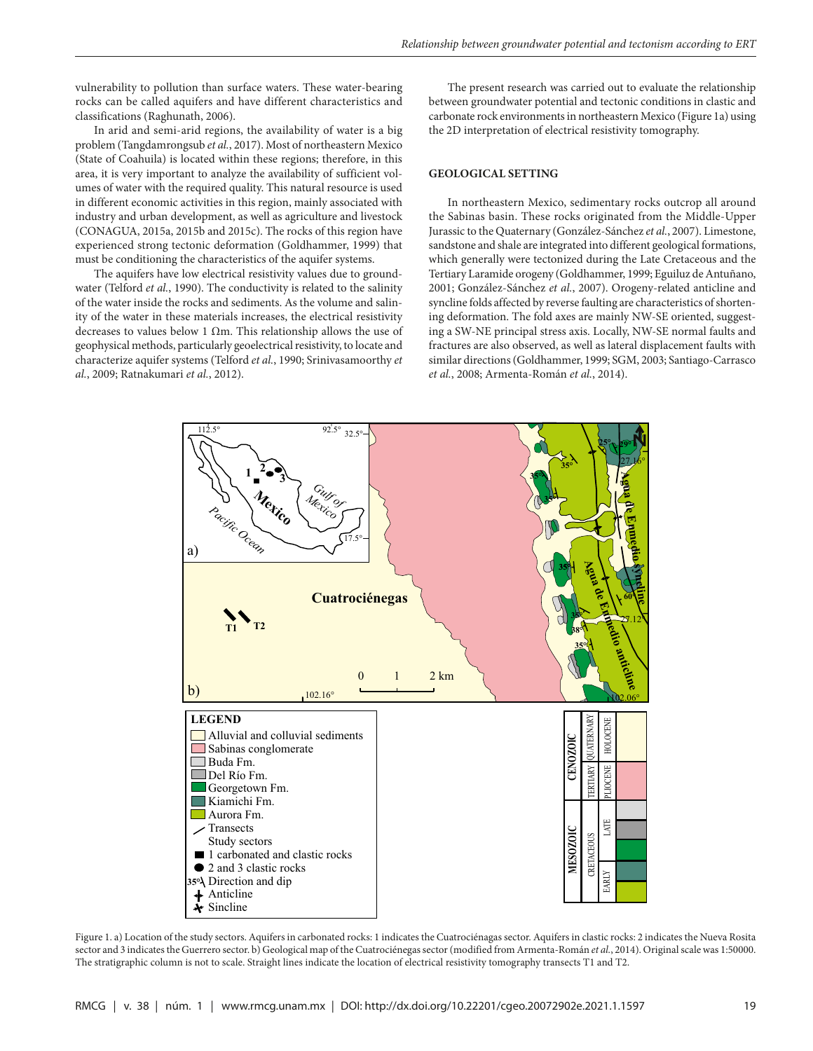vulnerability to pollution than surface waters. These water-bearing rocks can be called aquifers and have different characteristics and classifications (Raghunath, 2006).

In arid and semi-arid regions, the availability of water is a big problem (Tangdamrongsub *et al.*, 2017). Most of northeastern Mexico (State of Coahuila) is located within these regions; therefore, in this area, it is very important to analyze the availability of sufficient volumes of water with the required quality. This natural resource is used in different economic activities in this region, mainly associated with industry and urban development, as well as agriculture and livestock (CONAGUA, 2015a, 2015b and 2015c). The rocks of this region have experienced strong tectonic deformation (Goldhammer, 1999) that must be conditioning the characteristics of the aquifer systems.

The aquifers have low electrical resistivity values due to groundwater (Telford *et al.*, 1990). The conductivity is related to the salinity of the water inside the rocks and sediments. As the volume and salinity of the water in these materials increases, the electrical resistivity decreases to values below 1  $\Omega$ m. This relationship allows the use of geophysical methods, particularly geoelectrical resistivity, to locate and characterize aquifer systems (Telford *et al.*, 1990; Srinivasamoorthy *et al.*, 2009; Ratnakumari *et al.*, 2012).

The present research was carried out to evaluate the relationship between groundwater potential and tectonic conditions in clastic and carbonate rock environments in northeastern Mexico (Figure 1a) using the 2D interpretation of electrical resistivity tomography.

## **GEOLOGICAL SETTING**

In northeastern Mexico, sedimentary rocks outcrop all around the Sabinas basin. These rocks originated from the Middle-Upper Jurassic to the Quaternary (González-Sánchez *et al.*, 2007). Limestone, sandstone and shale are integrated into different geological formations, which generally were tectonized during the Late Cretaceous and the Tertiary Laramide orogeny (Goldhammer, 1999; Eguiluz de Antuñano, 2001; González-Sánchez *et al.*, 2007). Orogeny-related anticline and syncline folds affected by reverse faulting are characteristics of shortening deformation. The fold axes are mainly NW-SE oriented, suggesting a SW-NE principal stress axis. Locally, NW-SE normal faults and fractures are also observed, as well as lateral displacement faults with similar directions (Goldhammer, 1999; SGM, 2003; Santiago-Carrasco *et al.*, 2008; Armenta-Román *et al.*, 2014).



Figure 1. a) Location of the study sectors. Aquifers in carbonated rocks: 1 indicates the Cuatrociénagas sector. Aquifers in clastic rocks: 2 indicates the Nueva Rosita sector and 3 indicates the Guerrero sector. b) Geological map of the Cuatrociénegas sector (modified from Armenta-Román *et al.*, 2014). Original scale was 1:50000. The stratigraphic column is not to scale. Straight lines indicate the location of electrical resistivity tomography transects T1 and T2.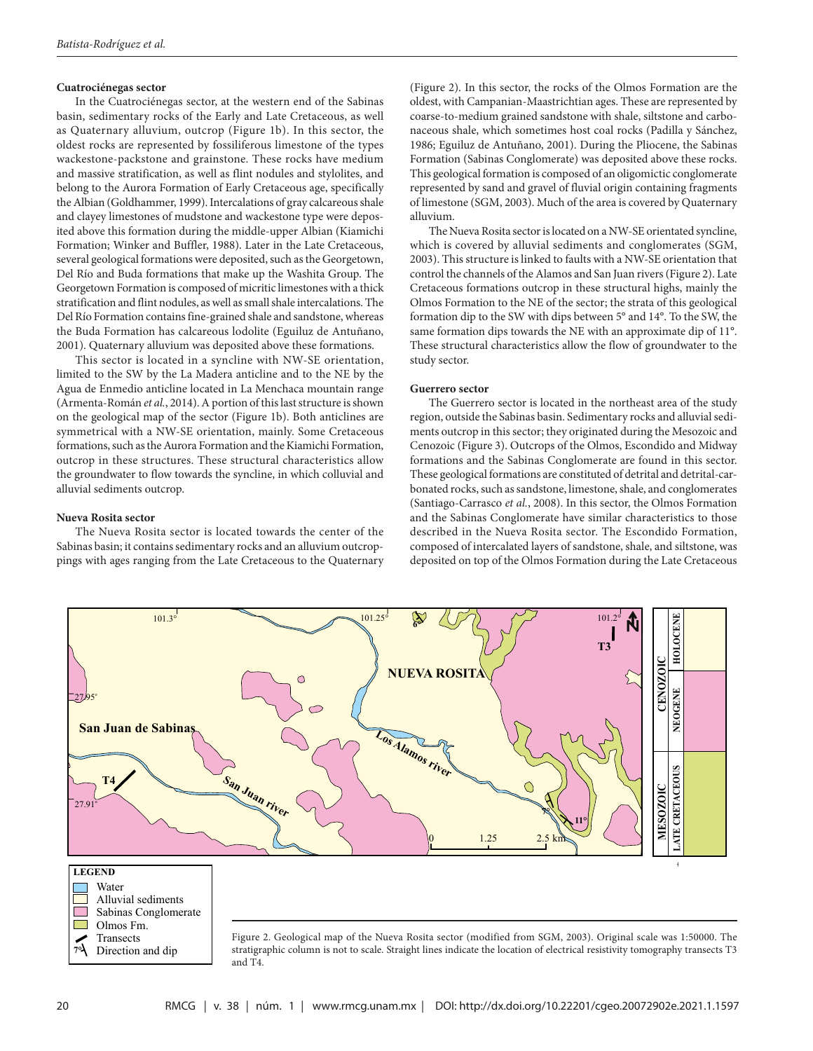## **Cuatrociénegas sector**

In the Cuatrociénegas sector, at the western end of the Sabinas basin, sedimentary rocks of the Early and Late Cretaceous, as well as Quaternary alluvium, outcrop (Figure 1b). In this sector, the oldest rocks are represented by fossiliferous limestone of the types wackestone-packstone and grainstone. These rocks have medium and massive stratification, as well as flint nodules and stylolites, and belong to the Aurora Formation of Early Cretaceous age, specifically the Albian (Goldhammer, 1999). Intercalations of gray calcareous shale and clayey limestones of mudstone and wackestone type were deposited above this formation during the middle-upper Albian (Kiamichi Formation; Winker and Buffler, 1988). Later in the Late Cretaceous, several geological formations were deposited, such as the Georgetown, Del Río and Buda formations that make up the Washita Group. The Georgetown Formation is composed of micritic limestones with a thick stratification and flint nodules, as well as small shale intercalations. The Del Río Formation contains fine-grained shale and sandstone, whereas the Buda Formation has calcareous lodolite (Eguiluz de Antuñano, 2001). Quaternary alluvium was deposited above these formations.

This sector is located in a syncline with NW-SE orientation, limited to the SW by the La Madera anticline and to the NE by the Agua de Enmedio anticline located in La Menchaca mountain range (Armenta-Román *et al.*, 2014). A portion of this last structure is shown on the geological map of the sector (Figure 1b). Both anticlines are symmetrical with a NW-SE orientation, mainly. Some Cretaceous formations, such as the Aurora Formation and the Kiamichi Formation, outcrop in these structures. These structural characteristics allow the groundwater to flow towards the syncline, in which colluvial and alluvial sediments outcrop.

## **Nueva Rosita sector**

The Nueva Rosita sector is located towards the center of the Sabinas basin; it contains sedimentary rocks and an alluvium outcroppings with ages ranging from the Late Cretaceous to the Quaternary (Figure 2). In this sector, the rocks of the Olmos Formation are the oldest, with Campanian-Maastrichtian ages. These are represented by coarse-to-medium grained sandstone with shale, siltstone and carbonaceous shale, which sometimes host coal rocks (Padilla y Sánchez, 1986; Eguiluz de Antuñano, 2001). During the Pliocene, the Sabinas Formation (Sabinas Conglomerate) was deposited above these rocks. This geological formation is composed of an oligomictic conglomerate represented by sand and gravel of fluvial origin containing fragments of limestone (SGM, 2003). Much of the area is covered by Quaternary alluvium.

The Nueva Rosita sector is located on a NW-SE orientated syncline, which is covered by alluvial sediments and conglomerates (SGM, 2003). This structure is linked to faults with a NW-SE orientation that control the channels of the Alamos and San Juan rivers (Figure 2). Late Cretaceous formations outcrop in these structural highs, mainly the Olmos Formation to the NE of the sector; the strata of this geological formation dip to the SW with dips between 5° and 14°. To the SW, the same formation dips towards the NE with an approximate dip of 11°. These structural characteristics allow the flow of groundwater to the study sector.

#### **Guerrero sector**

The Guerrero sector is located in the northeast area of the study region, outside the Sabinas basin. Sedimentary rocks and alluvial sediments outcrop in this sector; they originated during the Mesozoic and Cenozoic (Figure 3). Outcrops of the Olmos, Escondido and Midway formations and the Sabinas Conglomerate are found in this sector. These geological formations are constituted of detrital and detrital-carbonated rocks, such as sandstone, limestone, shale, and conglomerates (Santiago-Carrasco *et al.*, 2008). In this sector, the Olmos Formation and the Sabinas Conglomerate have similar characteristics to those described in the Nueva Rosita sector. The Escondido Formation, composed of intercalated layers of sandstone, shale, and siltstone, was deposited on top of the Olmos Formation during the Late Cretaceous

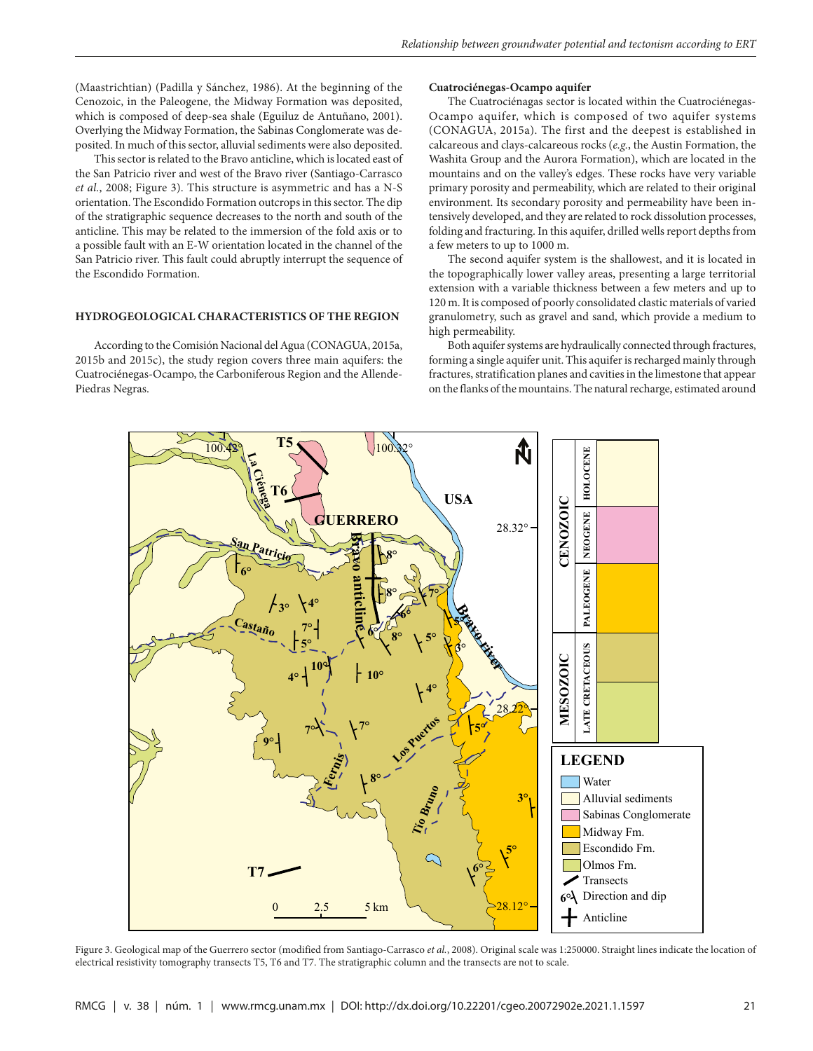(Maastrichtian) (Padilla y Sánchez, 1986). At the beginning of the Cenozoic, in the Paleogene, the Midway Formation was deposited, which is composed of deep-sea shale (Eguiluz de Antuñano, 2001). Overlying the Midway Formation, the Sabinas Conglomerate was deposited. In much of this sector, alluvial sediments were also deposited.

This sector is related to the Bravo anticline, which is located east of the San Patricio river and west of the Bravo river (Santiago-Carrasco *et al.*, 2008; Figure 3). This structure is asymmetric and has a N-S orientation. The Escondido Formation outcrops in this sector. The dip of the stratigraphic sequence decreases to the north and south of the anticline. This may be related to the immersion of the fold axis or to a possible fault with an E-W orientation located in the channel of the San Patricio river. This fault could abruptly interrupt the sequence of the Escondido Formation.

## **HYDROGEOLOGICAL CHARACTERISTICS OF THE REGION**

According to the Comisión Nacional del Agua (CONAGUA, 2015a, 2015b and 2015c), the study region covers three main aquifers: the Cuatrociénegas-Ocampo, the Carboniferous Region and the Allende-Piedras Negras.

## **Cuatrociénegas-Ocampo aquifer**

The Cuatrociénagas sector is located within the Cuatrociénegas-Ocampo aquifer, which is composed of two aquifer systems (CONAGUA, 2015a). The first and the deepest is established in calcareous and clays-calcareous rocks (*e.g.*, the Austin Formation, the Washita Group and the Aurora Formation), which are located in the mountains and on the valley's edges. These rocks have very variable primary porosity and permeability, which are related to their original environment. Its secondary porosity and permeability have been intensively developed, and they are related to rock dissolution processes, folding and fracturing. In this aquifer, drilled wells report depths from a few meters to up to 1000 m.

The second aquifer system is the shallowest, and it is located in the topographically lower valley areas, presenting a large territorial extension with a variable thickness between a few meters and up to 120 m. It is composed of poorly consolidated clastic materials of varied granulometry, such as gravel and sand, which provide a medium to high permeability.

Both aquifer systems are hydraulically connected through fractures, forming a single aquifer unit. This aquifer is recharged mainly through fractures, stratification planes and cavities in the limestone that appear on the flanks of the mountains. The natural recharge, estimated around



Figure 3. Geological map of the Guerrero sector (modified from Santiago-Carrasco *et al.*, 2008). Original scale was 1:250000. Straight lines indicate the location of electrical resistivity tomography transects T5, T6 and T7. The stratigraphic column and the transects are not to scale.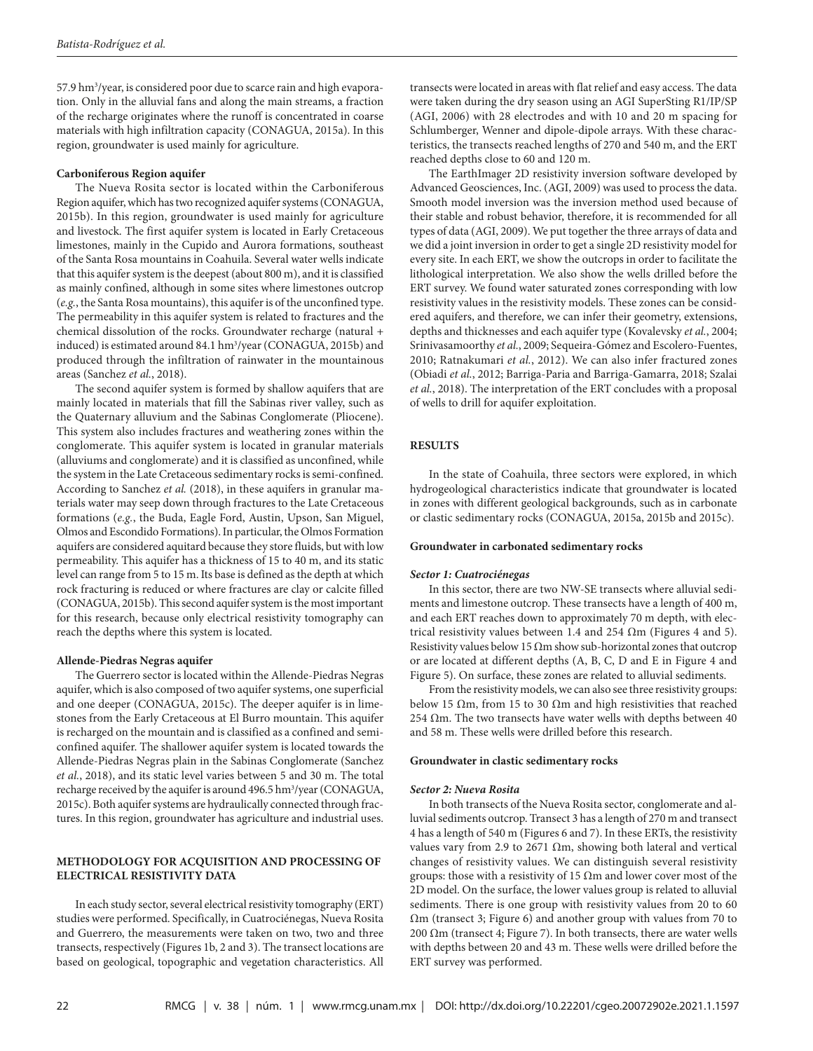57.9 hm<sup>3</sup>/year, is considered poor due to scarce rain and high evaporation. Only in the alluvial fans and along the main streams, a fraction of the recharge originates where the runoff is concentrated in coarse materials with high infiltration capacity (CONAGUA, 2015a). In this region, groundwater is used mainly for agriculture.

## **Carboniferous Region aquifer**

The Nueva Rosita sector is located within the Carboniferous Region aquifer, which has two recognized aquifer systems (CONAGUA, 2015b). In this region, groundwater is used mainly for agriculture and livestock. The first aquifer system is located in Early Cretaceous limestones, mainly in the Cupido and Aurora formations, southeast of the Santa Rosa mountains in Coahuila. Several water wells indicate that this aquifer system is the deepest (about 800 m), and it is classified as mainly confined, although in some sites where limestones outcrop (*e.g.*, the Santa Rosa mountains), this aquifer is of the unconfined type. The permeability in this aquifer system is related to fractures and the chemical dissolution of the rocks. Groundwater recharge (natural + induced) is estimated around 84.1 hm<sup>3</sup>/year (CONAGUA, 2015b) and produced through the infiltration of rainwater in the mountainous areas (Sanchez *et al.*, 2018).

The second aquifer system is formed by shallow aquifers that are mainly located in materials that fill the Sabinas river valley, such as the Quaternary alluvium and the Sabinas Conglomerate (Pliocene). This system also includes fractures and weathering zones within the conglomerate. This aquifer system is located in granular materials (alluviums and conglomerate) and it is classified as unconfined, while the system in the Late Cretaceous sedimentary rocks is semi-confined. According to Sanchez *et al.* (2018), in these aquifers in granular materials water may seep down through fractures to the Late Cretaceous formations (*e.g.*, the Buda, Eagle Ford, Austin, Upson, San Miguel, Olmos and Escondido Formations). In particular, the Olmos Formation aquifers are considered aquitard because they store fluids, but with low permeability. This aquifer has a thickness of 15 to 40 m, and its static level can range from 5 to 15 m. Its base is defined as the depth at which rock fracturing is reduced or where fractures are clay or calcite filled (CONAGUA, 2015b). This second aquifer system is the most important for this research, because only electrical resistivity tomography can reach the depths where this system is located.

#### **Allende-Piedras Negras aquifer**

The Guerrero sector is located within the Allende-Piedras Negras aquifer, which is also composed of two aquifer systems, one superficial and one deeper (CONAGUA, 2015c). The deeper aquifer is in limestones from the Early Cretaceous at El Burro mountain. This aquifer is recharged on the mountain and is classified as a confined and semiconfined aquifer. The shallower aquifer system is located towards the Allende-Piedras Negras plain in the Sabinas Conglomerate (Sanchez *et al.*, 2018), and its static level varies between 5 and 30 m. The total recharge received by the aquifer is around 496.5 hm<sup>3</sup>/year (CONAGUA, 2015c). Both aquifer systems are hydraulically connected through fractures. In this region, groundwater has agriculture and industrial uses.

## **METHODOLOGY FOR ACQUISITION AND PROCESSING OF ELECTRICAL RESISTIVITY DATA**

In each study sector, several electrical resistivity tomography (ERT) studies were performed. Specifically, in Cuatrociénegas, Nueva Rosita and Guerrero, the measurements were taken on two, two and three transects, respectively (Figures 1b, 2 and 3). The transect locations are based on geological, topographic and vegetation characteristics. All transects were located in areas with flat relief and easy access. The data were taken during the dry season using an AGI SuperSting R1/IP/SP (AGI, 2006) with 28 electrodes and with 10 and 20 m spacing for Schlumberger, Wenner and dipole-dipole arrays. With these characteristics, the transects reached lengths of 270 and 540 m, and the ERT reached depths close to 60 and 120 m.

The EarthImager 2D resistivity inversion software developed by Advanced Geosciences, Inc. (AGI, 2009) was used to process the data. Smooth model inversion was the inversion method used because of their stable and robust behavior, therefore, it is recommended for all types of data (AGI, 2009). We put together the three arrays of data and we did a joint inversion in order to get a single 2D resistivity model for every site. In each ERT, we show the outcrops in order to facilitate the lithological interpretation. We also show the wells drilled before the ERT survey. We found water saturated zones corresponding with low resistivity values in the resistivity models. These zones can be considered aquifers, and therefore, we can infer their geometry, extensions, depths and thicknesses and each aquifer type (Kovalevsky *et al.*, 2004; Srinivasamoorthy *et al.*, 2009; Sequeira-Gómez and Escolero-Fuentes, 2010; Ratnakumari *et al.*, 2012). We can also infer fractured zones (Obiadi *et al.*, 2012; Barriga-Paria and Barriga-Gamarra, 2018; Szalai *et al.*, 2018). The interpretation of the ERT concludes with a proposal of wells to drill for aquifer exploitation.

## **RESULTS**

In the state of Coahuila, three sectors were explored, in which hydrogeological characteristics indicate that groundwater is located in zones with different geological backgrounds, such as in carbonate or clastic sedimentary rocks (CONAGUA, 2015a, 2015b and 2015c).

#### **Groundwater in carbonated sedimentary rocks**

## *Sector 1: Cuatrociénegas*

In this sector, there are two NW-SE transects where alluvial sediments and limestone outcrop. These transects have a length of 400 m, and each ERT reaches down to approximately 70 m depth, with electrical resistivity values between 1.4 and 254  $\Omega$ m (Figures 4 and 5). Resistivity values below 15  $\Omega$ m show sub-horizontal zones that outcrop or are located at different depths (A, B, C, D and E in Figure 4 and Figure 5). On surface, these zones are related to alluvial sediments.

From the resistivity models, we can also see three resistivity groups: below 15 Ωm, from 15 to 30 Ωm and high resistivities that reached 254  $\Omega$ m. The two transects have water wells with depths between 40 and 58 m. These wells were drilled before this research.

## **Groundwater in clastic sedimentary rocks**

## *Sector 2: Nueva Rosita*

In both transects of the Nueva Rosita sector, conglomerate and alluvial sediments outcrop. Transect 3 has a length of 270 m and transect 4 has a length of 540 m (Figures 6 and 7). In these ERTs, the resistivity values vary from 2.9 to 2671 Ωm, showing both lateral and vertical changes of resistivity values. We can distinguish several resistivity groups: those with a resistivity of 15  $\Omega$ m and lower cover most of the 2D model. On the surface, the lower values group is related to alluvial sediments. There is one group with resistivity values from 20 to 60 Ωm (transect 3; Figure 6) and another group with values from 70 to 200 Ωm (transect 4; Figure 7). In both transects, there are water wells with depths between 20 and 43 m. These wells were drilled before the ERT survey was performed.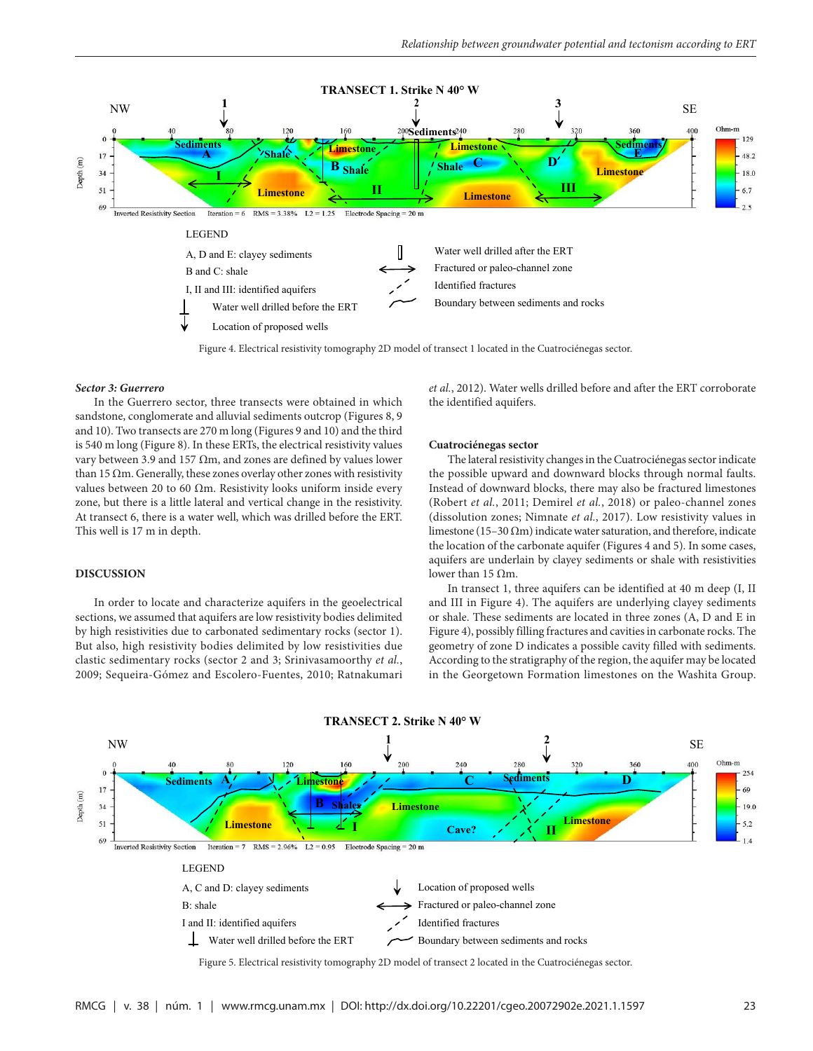

Figure 4. Electrical resistivity tomography 2D model of transect 1 located in the Cuatrociénegas sector.

#### *Sector 3: Guerrero*

In the Guerrero sector, three transects were obtained in which sandstone, conglomerate and alluvial sediments outcrop (Figures 8, 9 and 10). Two transects are 270 m long (Figures 9 and 10) and the third is 540 m long (Figure 8). In these ERTs, the electrical resistivity values vary between 3.9 and 157 Ωm, and zones are defined by values lower than 15  $\Omega$ m. Generally, these zones overlay other zones with resistivity values between 20 to 60  $\Omega$ m. Resistivity looks uniform inside every zone, but there is a little lateral and vertical change in the resistivity. At transect 6, there is a water well, which was drilled before the ERT. This well is 17 m in depth.

## **DISCUSSION**

In order to locate and characterize aquifers in the geoelectrical sections, we assumed that aquifers are low resistivity bodies delimited by high resistivities due to carbonated sedimentary rocks (sector 1). But also, high resistivity bodies delimited by low resistivities due clastic sedimentary rocks (sector 2 and 3; Srinivasamoorthy *et al.*, 2009; Sequeira-Gómez and Escolero-Fuentes, 2010; Ratnakumari *et al.*, 2012). Water wells drilled before and after the ERT corroborate the identified aquifers.

#### **Cuatrociénegas sector**

The lateral resistivity changes in the Cuatrociénegas sector indicate the possible upward and downward blocks through normal faults. Instead of downward blocks, there may also be fractured limestones (Robert *et al.*, 2011; Demirel *et al.*, 2018) or paleo-channel zones (dissolution zones; Nimnate *et al.*, 2017). Low resistivity values in limestone (15–30  $\Omega$ m) indicate water saturation, and therefore, indicate the location of the carbonate aquifer (Figures 4 and 5). In some cases, aquifers are underlain by clayey sediments or shale with resistivities lower than 15 Ωm.

In transect 1, three aquifers can be identified at 40 m deep (I, II and III in Figure 4). The aquifers are underlying clayey sediments or shale. These sediments are located in three zones (A, D and E in Figure 4), possibly filling fractures and cavities in carbonate rocks. The geometry of zone D indicates a possible cavity filled with sediments. According to the stratigraphy of the region, the aquifer may be located in the Georgetown Formation limestones on the Washita Group.

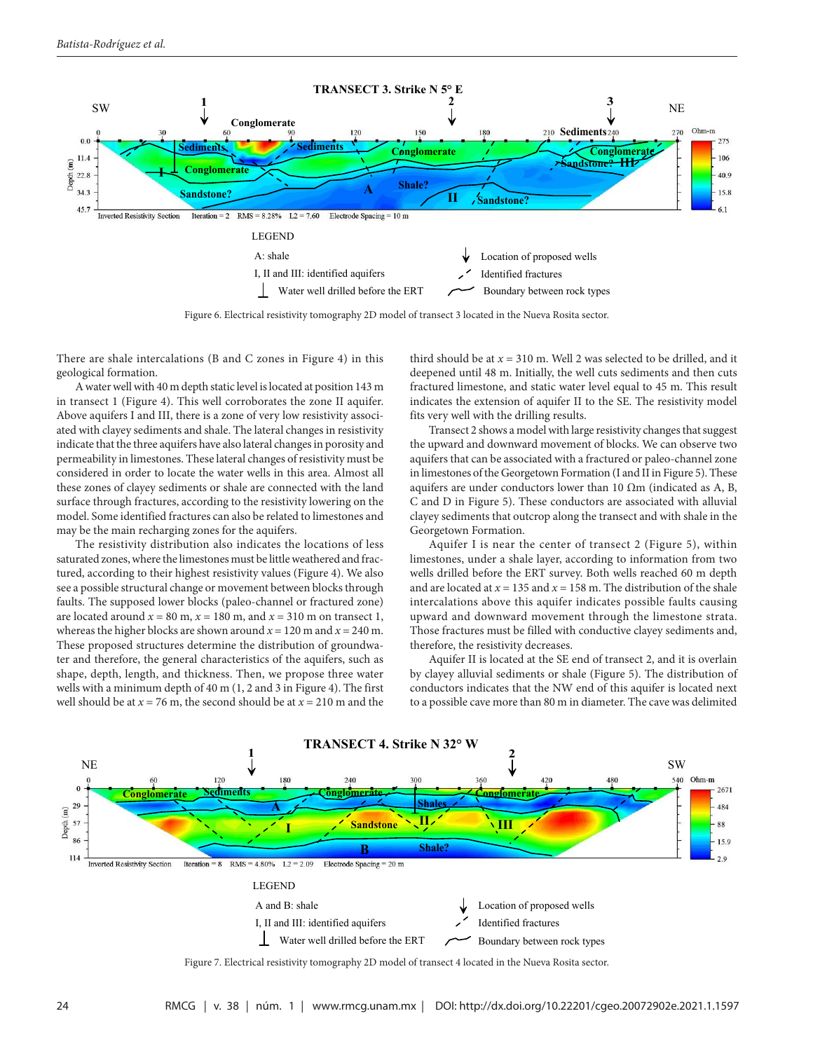

Figure 6. Electrical resistivity tomography 2D model of transect 3 located in the Nueva Rosita sector.

There are shale intercalations (B and C zones in Figure 4) in this geological formation.

A water well with 40 m depth static level is located at position 143 m in transect 1 (Figure 4). This well corroborates the zone II aquifer. Above aquifers I and III, there is a zone of very low resistivity associated with clayey sediments and shale. The lateral changes in resistivity indicate that the three aquifers have also lateral changes in porosity and permeability in limestones. These lateral changes of resistivity must be considered in order to locate the water wells in this area. Almost all these zones of clayey sediments or shale are connected with the land surface through fractures, according to the resistivity lowering on the model. Some identified fractures can also be related to limestones and may be the main recharging zones for the aquifers.

The resistivity distribution also indicates the locations of less saturated zones, where the limestones must be little weathered and fractured, according to their highest resistivity values (Figure 4). We also see a possible structural change or movement between blocks through faults. The supposed lower blocks (paleo-channel or fractured zone) are located around  $x = 80$  m,  $x = 180$  m, and  $x = 310$  m on transect 1, whereas the higher blocks are shown around  $x = 120$  m and  $x = 240$  m. These proposed structures determine the distribution of groundwater and therefore, the general characteristics of the aquifers, such as shape, depth, length, and thickness. Then, we propose three water wells with a minimum depth of 40 m (1, 2 and 3 in Figure 4). The first well should be at  $x = 76$  m, the second should be at  $x = 210$  m and the third should be at  $x = 310$  m. Well 2 was selected to be drilled, and it deepened until 48 m. Initially, the well cuts sediments and then cuts fractured limestone, and static water level equal to 45 m. This result indicates the extension of aquifer II to the SE. The resistivity model fits very well with the drilling results.

Transect 2 shows a model with large resistivity changes that suggest the upward and downward movement of blocks. We can observe two aquifers that can be associated with a fractured or paleo-channel zone in limestones of the Georgetown Formation (I and II in Figure 5). These aquifers are under conductors lower than 10  $\Omega$ m (indicated as A, B, C and D in Figure 5). These conductors are associated with alluvial clayey sediments that outcrop along the transect and with shale in the Georgetown Formation.

Aquifer I is near the center of transect 2 (Figure 5), within limestones, under a shale layer, according to information from two wells drilled before the ERT survey. Both wells reached 60 m depth and are located at  $x = 135$  and  $x = 158$  m. The distribution of the shale intercalations above this aquifer indicates possible faults causing upward and downward movement through the limestone strata. Those fractures must be filled with conductive clayey sediments and, therefore, the resistivity decreases.

Aquifer II is located at the SE end of transect 2, and it is overlain by clayey alluvial sediments or shale (Figure 5). The distribution of conductors indicates that the NW end of this aquifer is located next to a possible cave more than 80 m in diameter. The cave was delimited



Figure 7. Electrical resistivity tomography 2D model of transect 4 located in the Nueva Rosita sector.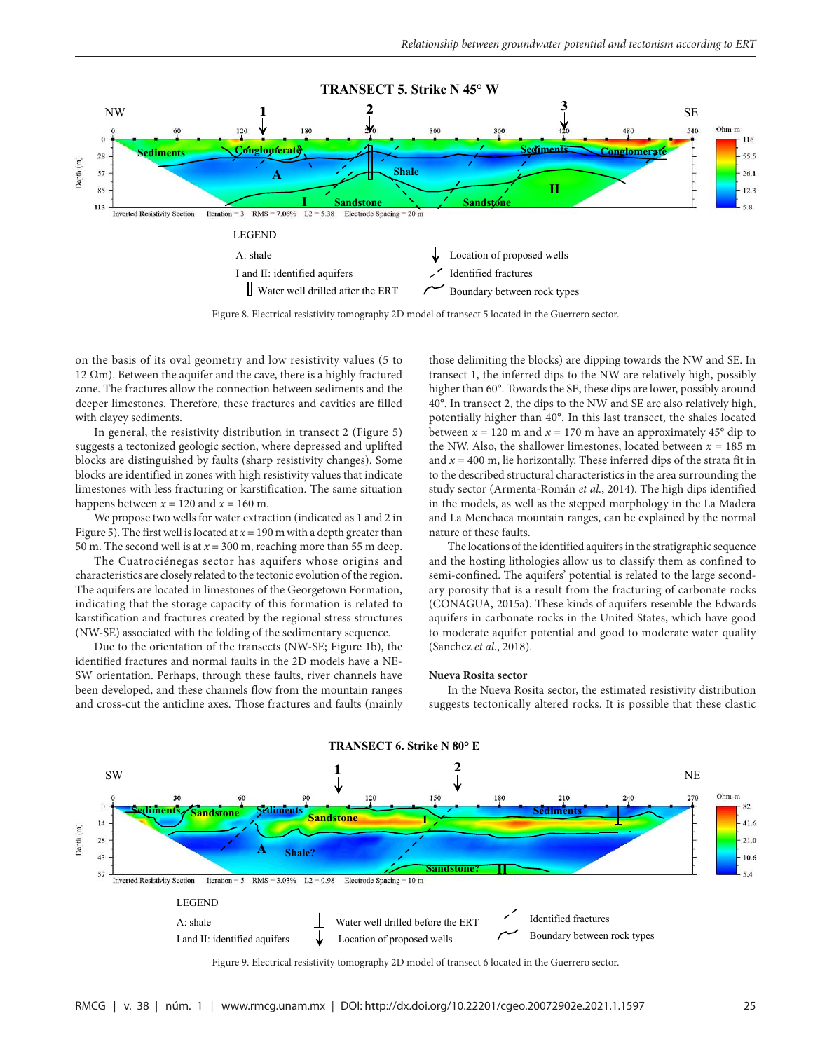

Figure 8. Electrical resistivity tomography 2D model of transect 5 located in the Guerrero sector.

on the basis of its oval geometry and low resistivity values (5 to 12  $Ωm$ ). Between the aquifer and the cave, there is a highly fractured zone. The fractures allow the connection between sediments and the deeper limestones. Therefore, these fractures and cavities are filled with clayey sediments.

In general, the resistivity distribution in transect 2 (Figure 5) suggests a tectonized geologic section, where depressed and uplifted blocks are distinguished by faults (sharp resistivity changes). Some blocks are identified in zones with high resistivity values that indicate limestones with less fracturing or karstification. The same situation happens between  $x = 120$  and  $x = 160$  m.

We propose two wells for water extraction (indicated as 1 and 2 in Figure 5). The first well is located at  $x = 190$  m with a depth greater than 50 m. The second well is at  $x = 300$  m, reaching more than 55 m deep.

The Cuatrociénegas sector has aquifers whose origins and characteristics are closely related to the tectonic evolution of the region. The aquifers are located in limestones of the Georgetown Formation, indicating that the storage capacity of this formation is related to karstification and fractures created by the regional stress structures (NW-SE) associated with the folding of the sedimentary sequence.

Due to the orientation of the transects (NW-SE; Figure 1b), the identified fractures and normal faults in the 2D models have a NE-SW orientation. Perhaps, through these faults, river channels have been developed, and these channels flow from the mountain ranges and cross-cut the anticline axes. Those fractures and faults (mainly those delimiting the blocks) are dipping towards the NW and SE. In transect 1, the inferred dips to the NW are relatively high, possibly higher than 60°. Towards the SE, these dips are lower, possibly around 40°. In transect 2, the dips to the NW and SE are also relatively high, potentially higher than 40°. In this last transect, the shales located between  $x = 120$  m and  $x = 170$  m have an approximately 45<sup>°</sup> dip to the NW. Also, the shallower limestones, located between  $x = 185$  m and  $x = 400$  m, lie horizontally. These inferred dips of the strata fit in to the described structural characteristics in the area surrounding the study sector (Armenta-Román *et al.*, 2014). The high dips identified in the models, as well as the stepped morphology in the La Madera and La Menchaca mountain ranges, can be explained by the normal nature of these faults.

The locations of the identified aquifers in the stratigraphic sequence and the hosting lithologies allow us to classify them as confined to semi-confined. The aquifers' potential is related to the large secondary porosity that is a result from the fracturing of carbonate rocks (CONAGUA, 2015a). These kinds of aquifers resemble the Edwards aquifers in carbonate rocks in the United States, which have good to moderate aquifer potential and good to moderate water quality (Sanchez *et al.*, 2018).

#### **Nueva Rosita sector**

In the Nueva Rosita sector, the estimated resistivity distribution suggests tectonically altered rocks. It is possible that these clastic



Figure 9. Electrical resistivity tomography 2D model of transect 6 located in the Guerrero sector.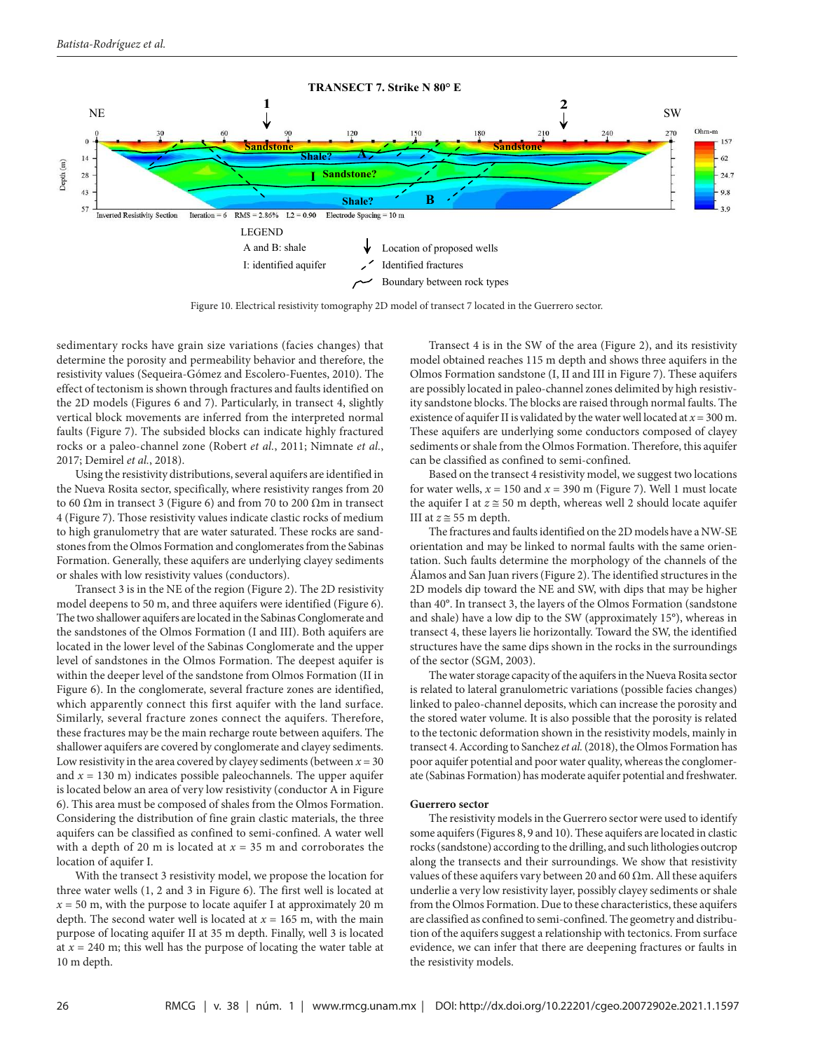

Figure 10. Electrical resistivity tomography 2D model of transect 7 located in the Guerrero sector.

sedimentary rocks have grain size variations (facies changes) that determine the porosity and permeability behavior and therefore, the resistivity values (Sequeira-Gómez and Escolero-Fuentes, 2010). The effect of tectonism is shown through fractures and faults identified on the 2D models (Figures 6 and 7). Particularly, in transect 4, slightly vertical block movements are inferred from the interpreted normal faults (Figure 7). The subsided blocks can indicate highly fractured rocks or a paleo-channel zone (Robert *et al.*, 2011; Nimnate *et al.*, 2017; Demirel *et al.*, 2018).

Using the resistivity distributions, several aquifers are identified in the Nueva Rosita sector, specifically, where resistivity ranges from 20 to 60 Ωm in transect 3 (Figure 6) and from 70 to 200 Ωm in transect 4 (Figure 7). Those resistivity values indicate clastic rocks of medium to high granulometry that are water saturated. These rocks are sandstones from the Olmos Formation and conglomerates from the Sabinas Formation. Generally, these aquifers are underlying clayey sediments or shales with low resistivity values (conductors).

Transect 3 is in the NE of the region (Figure 2). The 2D resistivity model deepens to 50 m, and three aquifers were identified (Figure 6). The two shallower aquifers are located in the Sabinas Conglomerate and the sandstones of the Olmos Formation (I and III). Both aquifers are located in the lower level of the Sabinas Conglomerate and the upper level of sandstones in the Olmos Formation. The deepest aquifer is within the deeper level of the sandstone from Olmos Formation (II in Figure 6). In the conglomerate, several fracture zones are identified, which apparently connect this first aquifer with the land surface. Similarly, several fracture zones connect the aquifers. Therefore, these fractures may be the main recharge route between aquifers. The shallower aquifers are covered by conglomerate and clayey sediments. Low resistivity in the area covered by clayey sediments (between  $x = 30$ and  $x = 130$  m) indicates possible paleochannels. The upper aquifer is located below an area of very low resistivity (conductor A in Figure 6). This area must be composed of shales from the Olmos Formation. Considering the distribution of fine grain clastic materials, the three aquifers can be classified as confined to semi-confined. A water well with a depth of 20 m is located at  $x = 35$  m and corroborates the location of aquifer I.

With the transect 3 resistivity model, we propose the location for three water wells (1, 2 and 3 in Figure 6). The first well is located at  $x = 50$  m, with the purpose to locate aquifer I at approximately 20 m depth. The second water well is located at  $x = 165$  m, with the main purpose of locating aquifer II at 35 m depth. Finally, well 3 is located at  $x = 240$  m; this well has the purpose of locating the water table at 10 m depth.

Transect 4 is in the SW of the area (Figure 2), and its resistivity model obtained reaches 115 m depth and shows three aquifers in the Olmos Formation sandstone (I, II and III in Figure 7). These aquifers are possibly located in paleo-channel zones delimited by high resistivity sandstone blocks. The blocks are raised through normal faults. The existence of aquifer II is validated by the water well located at  $x = 300$  m. These aquifers are underlying some conductors composed of clayey sediments or shale from the Olmos Formation. Therefore, this aquifer can be classified as confined to semi-confined.

Based on the transect 4 resistivity model, we suggest two locations for water wells,  $x = 150$  and  $x = 390$  m (Figure 7). Well 1 must locate the aquifer I at  $z \approx 50$  m depth, whereas well 2 should locate aquifer III at  $z \approx 55$  m depth.

The fractures and faults identified on the 2D models have a NW-SE orientation and may be linked to normal faults with the same orientation. Such faults determine the morphology of the channels of the Álamos and San Juan rivers (Figure 2). The identified structures in the 2D models dip toward the NE and SW, with dips that may be higher than 40°. In transect 3, the layers of the Olmos Formation (sandstone and shale) have a low dip to the SW (approximately 15°), whereas in transect 4, these layers lie horizontally. Toward the SW, the identified structures have the same dips shown in the rocks in the surroundings of the sector (SGM, 2003).

The water storage capacity of the aquifers in the Nueva Rosita sector is related to lateral granulometric variations (possible facies changes) linked to paleo-channel deposits, which can increase the porosity and the stored water volume. It is also possible that the porosity is related to the tectonic deformation shown in the resistivity models, mainly in transect 4. According to Sanchez *et al.* (2018), the Olmos Formation has poor aquifer potential and poor water quality, whereas the conglomerate (Sabinas Formation) has moderate aquifer potential and freshwater.

#### **Guerrero sector**

The resistivity models in the Guerrero sector were used to identify some aquifers (Figures 8, 9 and 10). These aquifers are located in clastic rocks (sandstone) according to the drilling, and such lithologies outcrop along the transects and their surroundings. We show that resistivity values of these aquifers vary between 20 and 60  $\Omega$ m. All these aquifers underlie a very low resistivity layer, possibly clayey sediments or shale from the Olmos Formation. Due to these characteristics, these aquifers are classified as confined to semi-confined. The geometry and distribution of the aquifers suggest a relationship with tectonics. From surface evidence, we can infer that there are deepening fractures or faults in the resistivity models.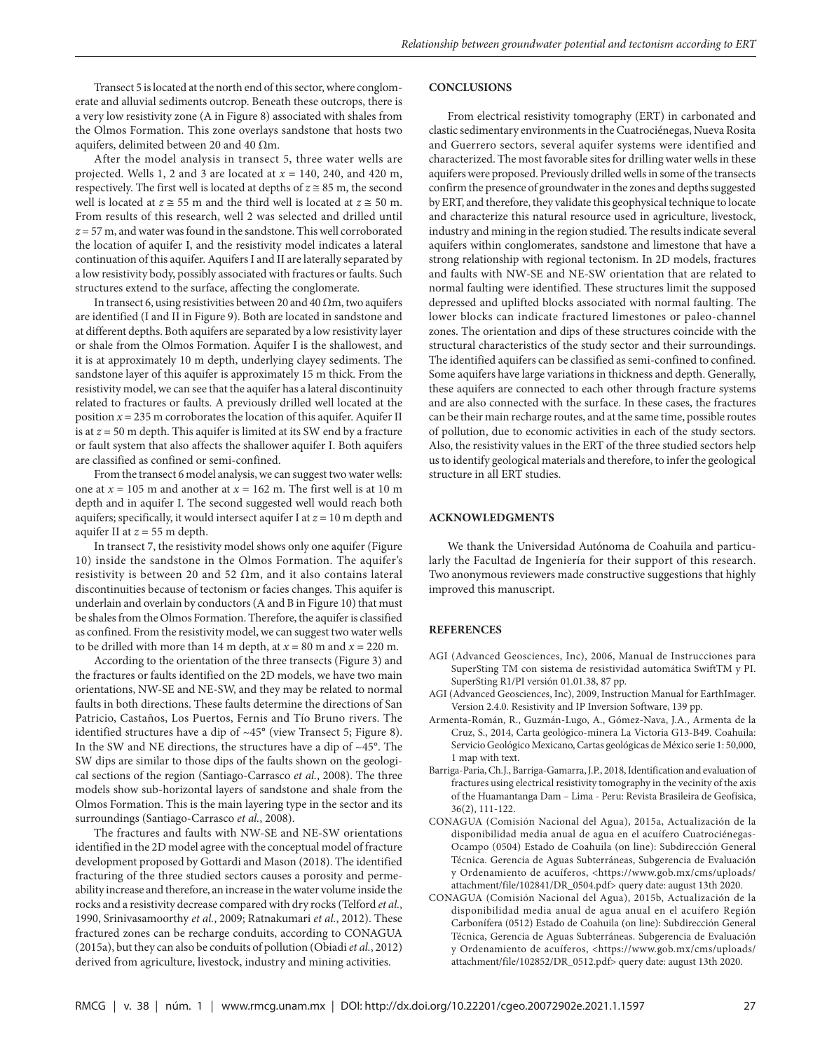Transect 5 is located at the north end of this sector, where conglomerate and alluvial sediments outcrop. Beneath these outcrops, there is a very low resistivity zone (A in Figure 8) associated with shales from the Olmos Formation. This zone overlays sandstone that hosts two aquifers, delimited between 20 and 40 Ωm.

After the model analysis in transect 5, three water wells are projected. Wells 1, 2 and 3 are located at *x* = 140, 240, and 420 m, respectively. The first well is located at depths of  $z \approx 85$  m, the second well is located at  $z \approx 55$  m and the third well is located at  $z \approx 50$  m. From results of this research, well 2 was selected and drilled until *z* = 57 m, and water was found in the sandstone. This well corroborated the location of aquifer I, and the resistivity model indicates a lateral continuation of this aquifer. Aquifers I and II are laterally separated by a low resistivity body, possibly associated with fractures or faults. Such structures extend to the surface, affecting the conglomerate.

In transect 6, using resistivities between 20 and 40  $\Omega$ m, two aquifers are identified (I and II in Figure 9). Both are located in sandstone and at different depths. Both aquifers are separated by a low resistivity layer or shale from the Olmos Formation. Aquifer I is the shallowest, and it is at approximately 10 m depth, underlying clayey sediments. The sandstone layer of this aquifer is approximately 15 m thick. From the resistivity model, we can see that the aquifer has a lateral discontinuity related to fractures or faults. A previously drilled well located at the position  $x = 235$  m corroborates the location of this aquifer. Aquifer II is at *z* = 50 m depth. This aquifer is limited at its SW end by a fracture or fault system that also affects the shallower aquifer I. Both aquifers are classified as confined or semi-confined.

From the transect 6 model analysis, we can suggest two water wells: one at  $x = 105$  m and another at  $x = 162$  m. The first well is at 10 m depth and in aquifer I. The second suggested well would reach both aquifers; specifically, it would intersect aquifer I at  $z = 10$  m depth and aquifer II at *z* = 55 m depth.

In transect 7, the resistivity model shows only one aquifer (Figure 10) inside the sandstone in the Olmos Formation. The aquifer's resistivity is between 20 and 52  $\Omega$ m, and it also contains lateral discontinuities because of tectonism or facies changes. This aquifer is underlain and overlain by conductors (A and B in Figure 10) that must be shales from the Olmos Formation. Therefore, the aquifer is classified as confined. From the resistivity model, we can suggest two water wells to be drilled with more than 14 m depth, at  $x = 80$  m and  $x = 220$  m.

According to the orientation of the three transects (Figure 3) and the fractures or faults identified on the 2D models, we have two main orientations, NW-SE and NE-SW, and they may be related to normal faults in both directions. These faults determine the directions of San Patricio, Castaños, Los Puertos, Fernis and Tío Bruno rivers. The identified structures have a dip of ~45° (view Transect 5; Figure 8). In the SW and NE directions, the structures have a dip of  $\sim$ 45°. The SW dips are similar to those dips of the faults shown on the geological sections of the region (Santiago-Carrasco *et al.*, 2008). The three models show sub-horizontal layers of sandstone and shale from the Olmos Formation. This is the main layering type in the sector and its surroundings (Santiago-Carrasco *et al.*, 2008).

The fractures and faults with NW-SE and NE-SW orientations identified in the 2D model agree with the conceptual model of fracture development proposed by Gottardi and Mason (2018). The identified fracturing of the three studied sectors causes a porosity and permeability increase and therefore, an increase in the water volume inside the rocks and a resistivity decrease compared with dry rocks (Telford *et al.*, 1990, Srinivasamoorthy *et al.*, 2009; Ratnakumari *et al.*, 2012). These fractured zones can be recharge conduits, according to CONAGUA (2015a), but they can also be conduits of pollution (Obiadi *et al.*, 2012) derived from agriculture, livestock, industry and mining activities.

## **CONCLUSIONS**

From electrical resistivity tomography (ERT) in carbonated and clastic sedimentary environments in the Cuatrociénegas, Nueva Rosita and Guerrero sectors, several aquifer systems were identified and characterized. The most favorable sites for drilling water wells in these aquifers were proposed. Previously drilled wells in some of the transects confirm the presence of groundwater in the zones and depths suggested by ERT, and therefore, they validate this geophysical technique to locate and characterize this natural resource used in agriculture, livestock, industry and mining in the region studied. The results indicate several aquifers within conglomerates, sandstone and limestone that have a strong relationship with regional tectonism. In 2D models, fractures and faults with NW-SE and NE-SW orientation that are related to normal faulting were identified. These structures limit the supposed depressed and uplifted blocks associated with normal faulting. The lower blocks can indicate fractured limestones or paleo-channel zones. The orientation and dips of these structures coincide with the structural characteristics of the study sector and their surroundings. The identified aquifers can be classified as semi-confined to confined. Some aquifers have large variations in thickness and depth. Generally, these aquifers are connected to each other through fracture systems and are also connected with the surface. In these cases, the fractures can be their main recharge routes, and at the same time, possible routes of pollution, due to economic activities in each of the study sectors. Also, the resistivity values in the ERT of the three studied sectors help us to identify geological materials and therefore, to infer the geological structure in all ERT studies.

#### **ACKNOWLEDGMENTS**

We thank the Universidad Autónoma de Coahuila and particularly the Facultad de Ingeniería for their support of this research. Two anonymous reviewers made constructive suggestions that highly improved this manuscript.

#### **REFERENCES**

- AGI (Advanced Geosciences, Inc), 2006, Manual de Instrucciones para SuperSting TM con sistema de resistividad automática SwiftTM y PI. SuperSting R1/PI versión 01.01.38, 87 pp.
- AGI (Advanced Geosciences, Inc), 2009, Instruction Manual for EarthImager. Version 2.4.0. Resistivity and IP Inversion Software, 139 pp.
- Armenta-Román, R., Guzmán-Lugo, A., Gómez-Nava, J.A., Armenta de la Cruz, S., 2014, Carta geológico-minera La Victoria G13-B49. Coahuila: Servicio Geológico Mexicano, Cartas geológicas de México serie 1: 50,000, 1 map with text.
- Barriga-Paria, Ch.J., Barriga-Gamarra, J.P., 2018, Identification and evaluation of fractures using electrical resistivity tomography in the vecinity of the axis of the Huamantanga Dam – Lima - Peru: Revista Brasileira de Geofísica, 36(2), 111-122.
- CONAGUA (Comisión Nacional del Agua), 2015a, Actualización de la disponibilidad media anual de agua en el acuífero Cuatrociénegas-Ocampo (0504) Estado de Coahuila (on line): Subdirección General Técnica. Gerencia de Aguas Subterráneas, Subgerencia de Evaluación y Ordenamiento de acuíferos, <https://www.gob.mx/cms/uploads/ attachment/file/102841/DR\_0504.pdf> query date: august 13th 2020.
- CONAGUA (Comisión Nacional del Agua), 2015b, Actualización de la disponibilidad media anual de agua anual en el acuífero Región Carbonífera (0512) Estado de Coahuila (on line): Subdirección General Técnica, Gerencia de Aguas Subterráneas. Subgerencia de Evaluación y Ordenamiento de acuíferos, <https://www.gob.mx/cms/uploads/ attachment/file/102852/DR\_0512.pdf> query date: august 13th 2020.